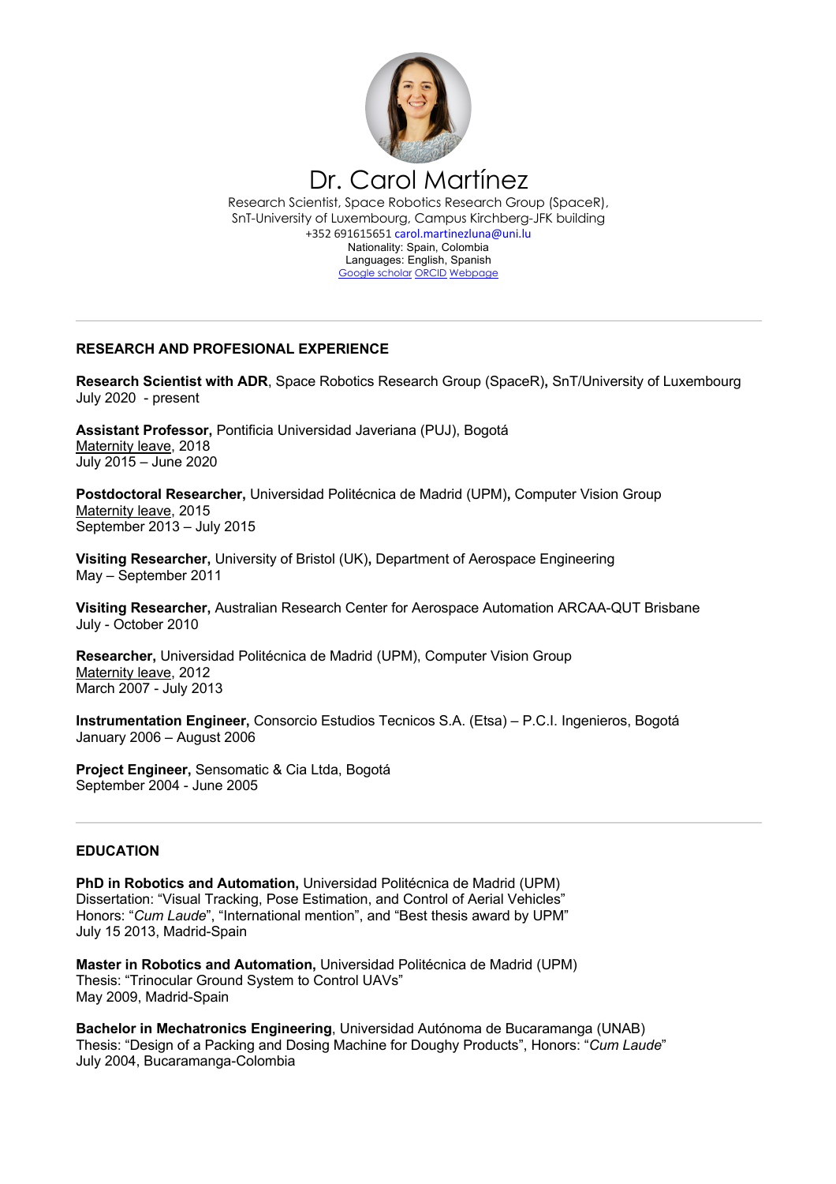

## **RESEARCH AND PROFESIONAL EXPERIENCE**

**Research Scientist with ADR**, Space Robotics Research Group (SpaceR)**,** SnT/University of Luxembourg July 2020 - present

**Assistant Professor,** Pontificia Universidad Javeriana (PUJ), Bogotá Maternity leave, 2018 July 2015 – June 2020

**Postdoctoral Researcher,** Universidad Politécnica de Madrid (UPM)**,** Computer Vision Group Maternity leave, 2015 September 2013 – July 2015

**Visiting Researcher,** University of Bristol (UK)**,** Department of Aerospace Engineering May – September 2011

**Visiting Researcher,** Australian Research Center for Aerospace Automation ARCAA-QUT Brisbane July - October 2010

**Researcher,** Universidad Politécnica de Madrid (UPM), Computer Vision Group Maternity leave, 2012 March 2007 - July 2013

**Instrumentation Engineer,** Consorcio Estudios Tecnicos S.A. (Etsa) – P.C.I. Ingenieros, Bogotá January 2006 – August 2006

**Project Engineer,** Sensomatic & Cia Ltda, Bogotá September 2004 - June 2005

### **EDUCATION**

**PhD in Robotics and Automation,** Universidad Politécnica de Madrid (UPM) Dissertation: "Visual Tracking, Pose Estimation, and Control of Aerial Vehicles" Honors: "*Cum Laude*", "International mention", and "Best thesis award by UPM" July 15 2013, Madrid-Spain

**Master in Robotics and Automation,** Universidad Politécnica de Madrid (UPM) Thesis: "Trinocular Ground System to Control UAVs" May 2009, Madrid-Spain

**Bachelor in Mechatronics Engineering**, Universidad Autónoma de Bucaramanga (UNAB) Thesis: "Design of a Packing and Dosing Machine for Doughy Products", Honors: "*Cum Laude*" July 2004, Bucaramanga-Colombia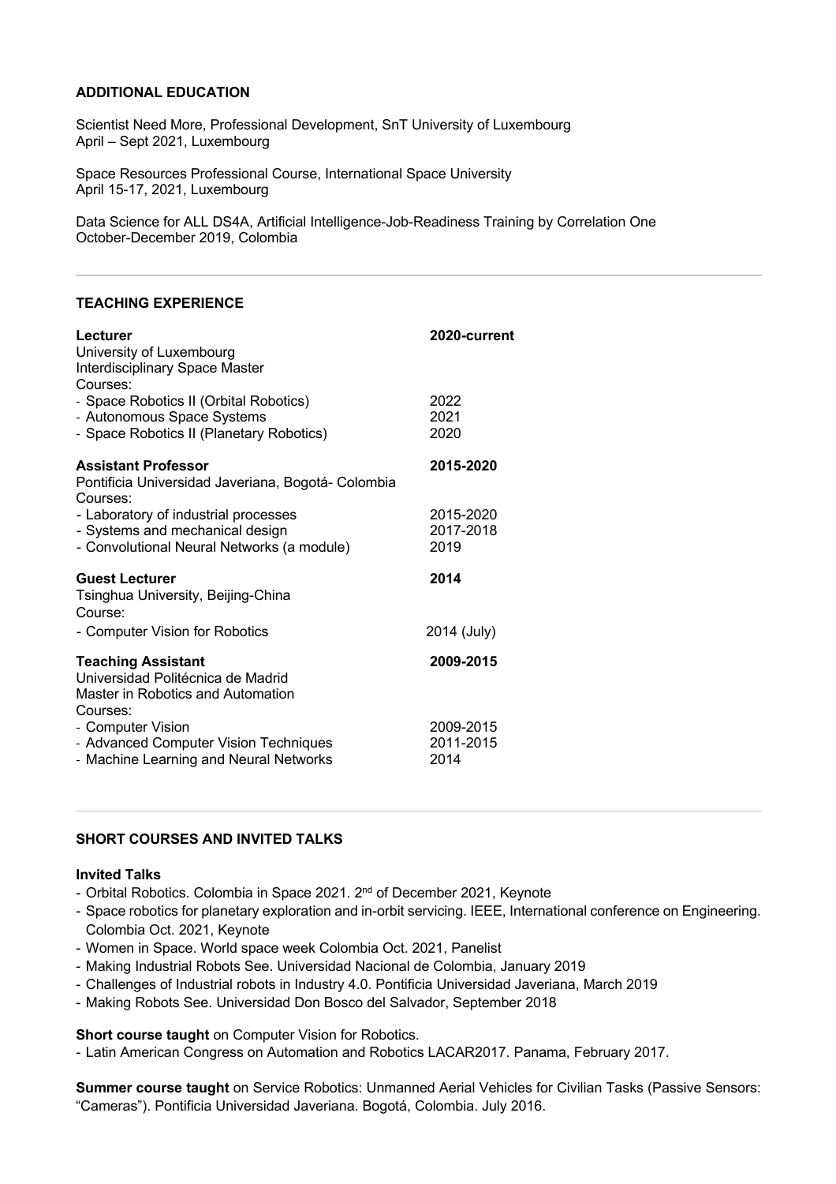## **ADDITIONAL EDUCATION**

Scientist Need More, Professional Development, SnT University of Luxembourg April – Sept 2021, Luxembourg

Space Resources Professional Course, International Space University April 15-17, 2021, Luxembourg

Data Science for ALL DS4A, Artificial Intelligence-Job-Readiness Training by Correlation One October-December 2019, Colombia

### **TEACHING EXPERIENCE**

| Lecturer<br>University of Luxembourg<br>Interdisciplinary Space Master<br>Courses:                                    | 2020-current                   |
|-----------------------------------------------------------------------------------------------------------------------|--------------------------------|
| - Space Robotics II (Orbital Robotics)<br>- Autonomous Space Systems<br>- Space Robotics II (Planetary Robotics)      | 2022<br>2021<br>2020           |
| <b>Assistant Professor</b><br>Pontificia Universidad Javeriana, Bogotá-Colombia<br>Courses:                           | 2015-2020                      |
| - Laboratory of industrial processes<br>- Systems and mechanical design<br>- Convolutional Neural Networks (a module) | 2015-2020<br>2017-2018<br>2019 |
| <b>Guest Lecturer</b><br>Tsinghua University, Beijing-China<br>Course:                                                | 2014                           |
| - Computer Vision for Robotics                                                                                        | 2014 (July)                    |
| <b>Teaching Assistant</b><br>Universidad Politécnica de Madrid<br>Master in Robotics and Automation<br>Courses:       | 2009-2015                      |
| - Computer Vision<br>- Advanced Computer Vision Techniques<br>- Machine Learning and Neural Networks                  | 2009-2015<br>2011-2015<br>2014 |

## **SHORT COURSES AND INVITED TALKS**

### **Invited Talks**

- Orbital Robotics. Colombia in Space 2021. 2<sup>nd</sup> of December 2021, Keynote
- Space robotics for planetary exploration and in-orbit servicing. IEEE, International conference on Engineering. Colombia Oct. 2021, Keynote
- Women in Space. World space week Colombia Oct. 2021, Panelist
- Making Industrial Robots See. Universidad Nacional de Colombia, January 2019
- Challenges of Industrial robots in Industry 4.0. Pontificia Universidad Javeriana, March 2019
- Making Robots See. Universidad Don Bosco del Salvador, September 2018

### **Short course taught** on Computer Vision for Robotics.

- Latin American Congress on Automation and Robotics LACAR2017. Panama, February 2017.

**Summer course taught** on Service Robotics: Unmanned Aerial Vehicles for Civilian Tasks (Passive Sensors: "Cameras"). Pontificia Universidad Javeriana. Bogotá, Colombia. July 2016.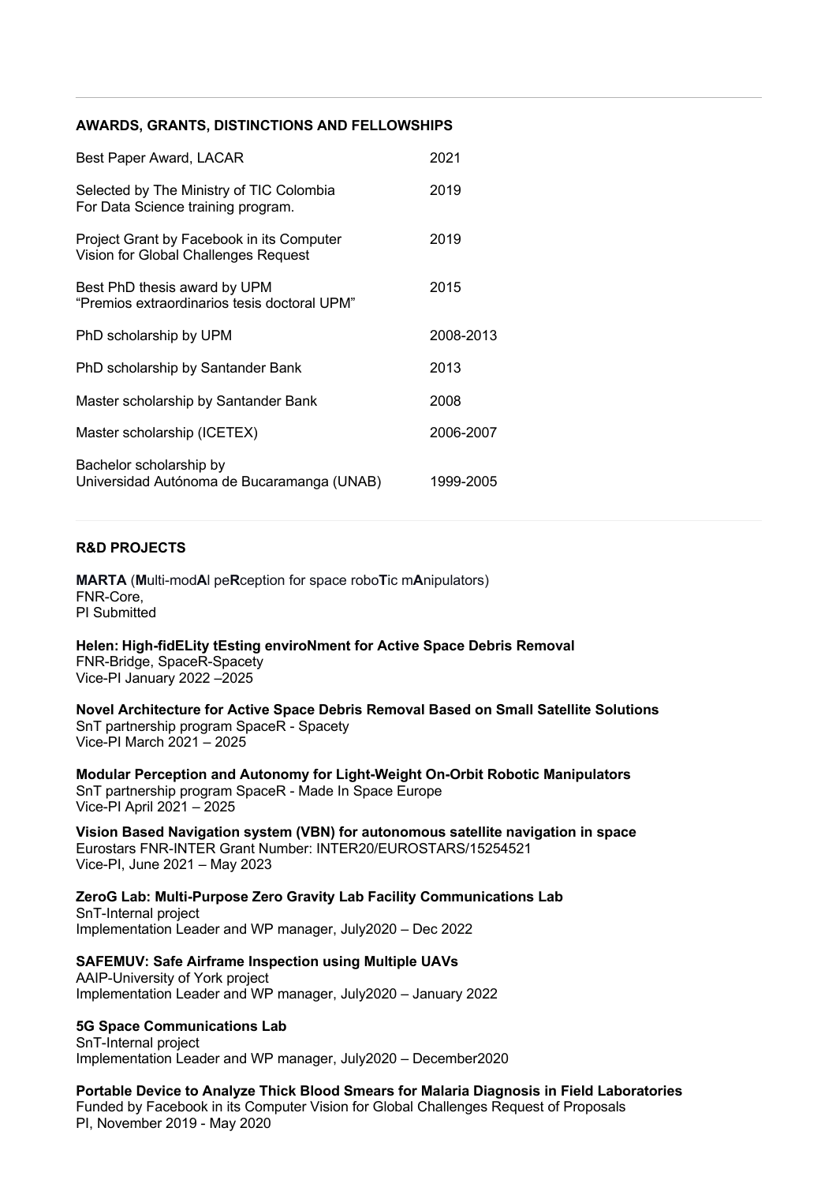## **AWARDS, GRANTS, DISTINCTIONS AND FELLOWSHIPS**

| Best Paper Award, LACAR                                                           | 2021      |
|-----------------------------------------------------------------------------------|-----------|
| Selected by The Ministry of TIC Colombia<br>For Data Science training program.    | 2019      |
| Project Grant by Facebook in its Computer<br>Vision for Global Challenges Request | 2019      |
| Best PhD thesis award by UPM<br>"Premios extraordinarios tesis doctoral UPM"      | 2015      |
| PhD scholarship by UPM                                                            | 2008-2013 |
| PhD scholarship by Santander Bank                                                 | 2013      |
| Master scholarship by Santander Bank                                              | 2008      |
| Master scholarship (ICETEX)                                                       | 2006-2007 |
| Bachelor scholarship by<br>Universidad Autónoma de Bucaramanga (UNAB)             | 1999-2005 |

## **R&D PROJECTS**

**MARTA** (**M**ulti-mod**A**l pe**R**ception for space robo**T**ic m**A**nipulators) FNR-Core, PI Submitted

**Helen: High-fidELity tEsting enviroNment for Active Space Debris Removal** FNR-Bridge, SpaceR-Spacety Vice-PI January 2022 –2025

**Novel Architecture for Active Space Debris Removal Based on Small Satellite Solutions** SnT partnership program SpaceR - Spacety Vice-PI March 2021 – 2025

**Modular Perception and Autonomy for Light-Weight On-Orbit Robotic Manipulators**  SnT partnership program SpaceR - Made In Space Europe Vice-PI April 2021 – 2025

**Vision Based Navigation system (VBN) for autonomous satellite navigation in space** Eurostars FNR-INTER Grant Number: INTER20/EUROSTARS/15254521 Vice-PI, June 2021 – May 2023

**ZeroG Lab: Multi-Purpose Zero Gravity Lab Facility Communications Lab** SnT-Internal project Implementation Leader and WP manager, July2020 – Dec 2022

**SAFEMUV: Safe Airframe Inspection using Multiple UAVs** AAIP-University of York project Implementation Leader and WP manager, July2020 – January 2022

### **5G Space Communications Lab**

SnT-Internal project Implementation Leader and WP manager, July2020 – December2020

**Portable Device to Analyze Thick Blood Smears for Malaria Diagnosis in Field Laboratories** Funded by Facebook in its Computer Vision for Global Challenges Request of Proposals PI, November 2019 - May 2020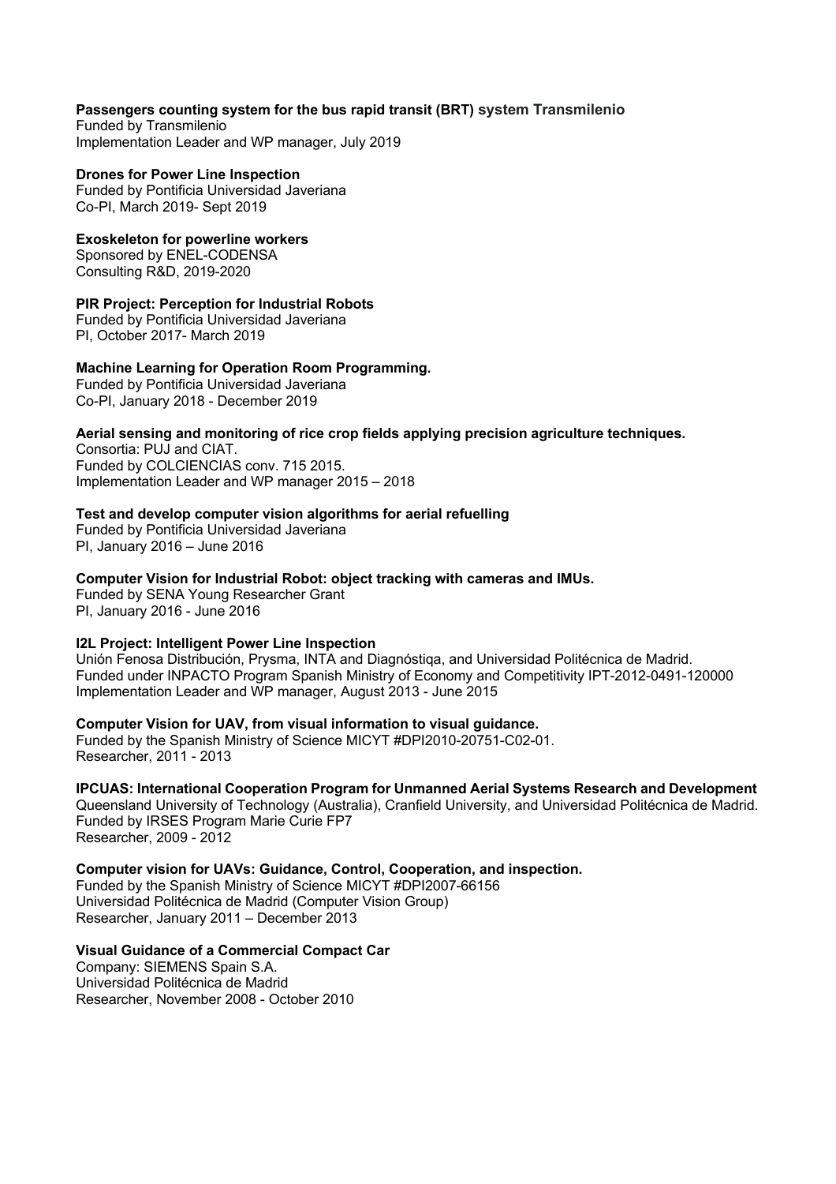## **Passengers counting system for the bus rapid transit (BRT) system Transmilenio**

Funded by Transmilenio Implementation Leader and WP manager, July 2019

### **Drones for Power Line Inspection**

Funded by Pontificia Universidad Javeriana Co-PI, March 2019- Sept 2019

## **Exoskeleton for powerline workers**

Sponsored by ENEL-CODENSA Consulting R&D, 2019-2020

## **PIR Project: Perception for Industrial Robots**

Funded by Pontificia Universidad Javeriana PI, October 2017- March 2019

### **Machine Learning for Operation Room Programming.**

Funded by Pontificia Universidad Javeriana Co-PI, January 2018 - December 2019

## **Aerial sensing and monitoring of rice crop fields applying precision agriculture techniques.**

Consortia: PUJ and CIAT. Funded by COLCIENCIAS conv. 715 2015. Implementation Leader and WP manager 2015 – 2018

## **Test and develop computer vision algorithms for aerial refuelling**

Funded by Pontificia Universidad Javeriana PI, January 2016 – June 2016

### **Computer Vision for Industrial Robot: object tracking with cameras and IMUs.**

Funded by SENA Young Researcher Grant PI, January 2016 - June 2016

## **I2L Project: Intelligent Power Line Inspection**

Unión Fenosa Distribución, Prysma, INTA and Diagnóstiqa, and Universidad Politécnica de Madrid. Funded under INPACTO Program Spanish Ministry of Economy and Competitivity IPT-2012-0491-120000 Implementation Leader and WP manager, August 2013 - June 2015

## **Computer Vision for UAV, from visual information to visual guidance.**

Funded by the Spanish Ministry of Science MICYT #DPI2010-20751-C02-01. Researcher, 2011 - 2013

# **IPCUAS: International Cooperation Program for Unmanned Aerial Systems Research and Development**

Queensland University of Technology (Australia), Cranfield University, and Universidad Politécnica de Madrid. Funded by IRSES Program Marie Curie FP7

Researcher, 2009 - 2012

### **Computer vision for UAVs: Guidance, Control, Cooperation, and inspection.**

Funded by the Spanish Ministry of Science MICYT #DPI2007-66156 Universidad Politécnica de Madrid (Computer Vision Group) Researcher, January 2011 – December 2013

## **Visual Guidance of a Commercial Compact Car**

Company: SIEMENS Spain S.A. Universidad Politécnica de Madrid Researcher, November 2008 - October 2010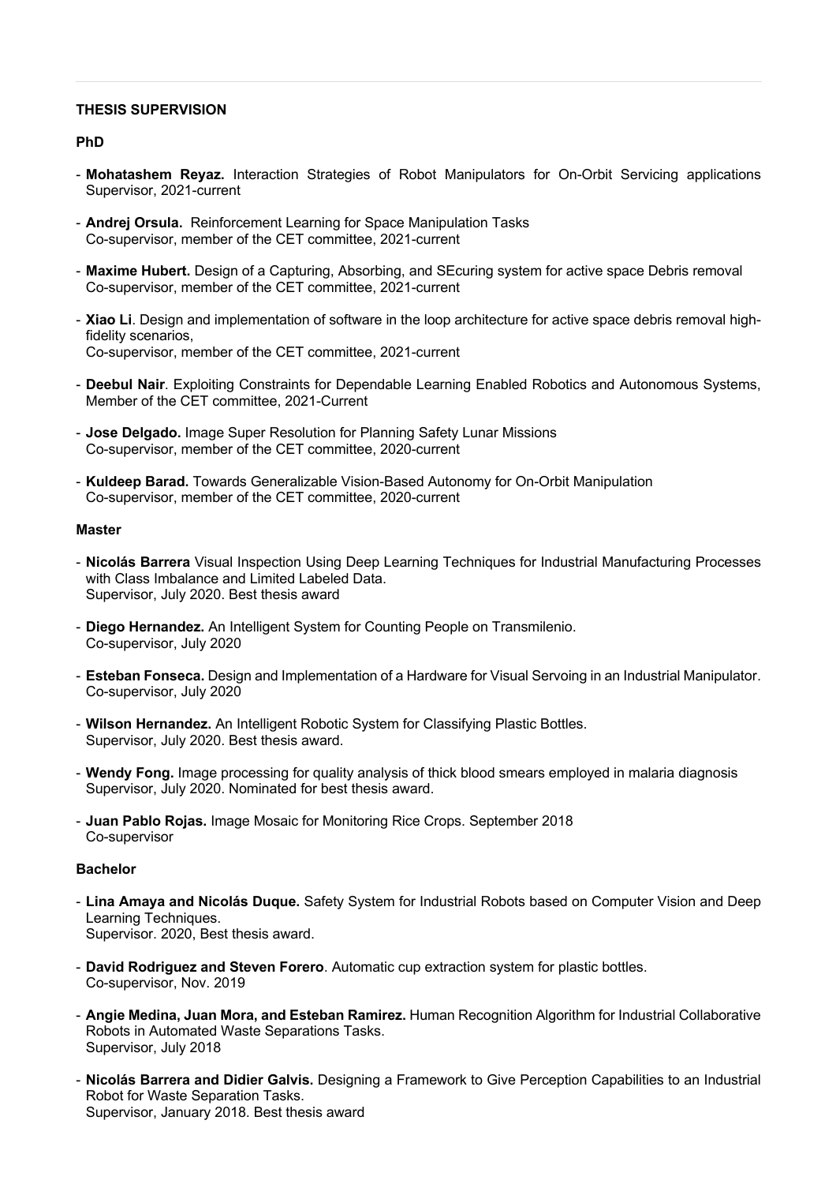## **THESIS SUPERVISION**

### **PhD**

- **Mohatashem Reyaz.** Interaction Strategies of Robot Manipulators for On-Orbit Servicing applications Supervisor, 2021-current
- **Andrej Orsula.** Reinforcement Learning for Space Manipulation Tasks Co-supervisor, member of the CET committee, 2021-current
- **Maxime Hubert.** Design of a Capturing, Absorbing, and SEcuring system for active space Debris removal Co-supervisor, member of the CET committee, 2021-current
- **Xiao Li**. Design and implementation of software in the loop architecture for active space debris removal highfidelity scenarios, Co-supervisor, member of the CET committee, 2021-current
- **Deebul Nair**. Exploiting Constraints for Dependable Learning Enabled Robotics and Autonomous Systems, Member of the CET committee, 2021-Current
- **Jose Delgado.** Image Super Resolution for Planning Safety Lunar Missions Co-supervisor, member of the CET committee, 2020-current
- **Kuldeep Barad.** Towards Generalizable Vision-Based Autonomy for On-Orbit Manipulation Co-supervisor, member of the CET committee, 2020-current

### **Master**

- **Nicolás Barrera** Visual Inspection Using Deep Learning Techniques for Industrial Manufacturing Processes with Class Imbalance and Limited Labeled Data. Supervisor, July 2020. Best thesis award
- **Diego Hernandez.** An Intelligent System for Counting People on Transmilenio. Co-supervisor, July 2020
- **Esteban Fonseca.** Design and Implementation of a Hardware for Visual Servoing in an Industrial Manipulator. Co-supervisor, July 2020
- **Wilson Hernandez.** An Intelligent Robotic System for Classifying Plastic Bottles. Supervisor, July 2020. Best thesis award.
- **Wendy Fong.** Image processing for quality analysis of thick blood smears employed in malaria diagnosis Supervisor, July 2020. Nominated for best thesis award.
- **Juan Pablo Rojas.** Image Mosaic for Monitoring Rice Crops. September 2018 Co-supervisor

## **Bachelor**

- **Lina Amaya and Nicolás Duque.** Safety System for Industrial Robots based on Computer Vision and Deep Learning Techniques. Supervisor. 2020, Best thesis award.
- **David Rodriguez and Steven Forero**. Automatic cup extraction system for plastic bottles. Co-supervisor, Nov. 2019
- **Angie Medina, Juan Mora, and Esteban Ramirez.** Human Recognition Algorithm for Industrial Collaborative Robots in Automated Waste Separations Tasks. Supervisor, July 2018
- **Nicolás Barrera and Didier Galvis.** Designing a Framework to Give Perception Capabilities to an Industrial Robot for Waste Separation Tasks. Supervisor, January 2018. Best thesis award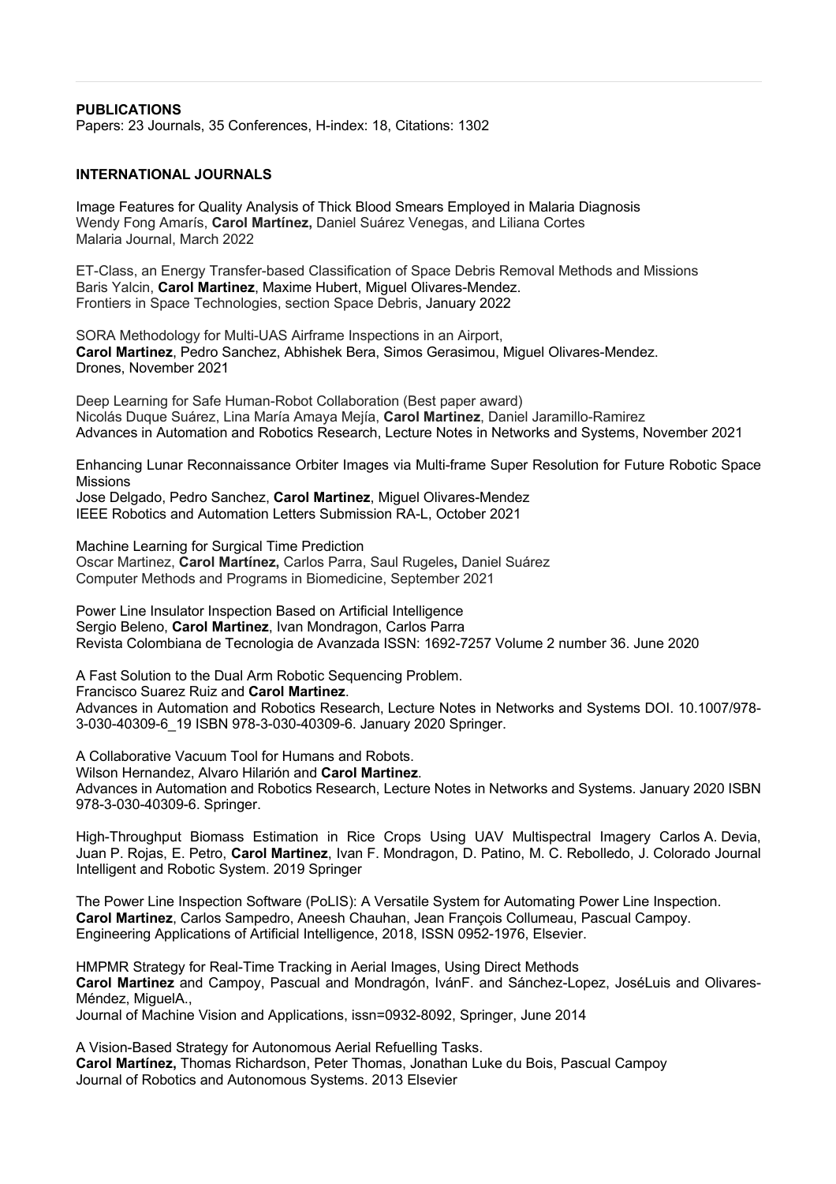### **PUBLICATIONS**

Papers: 23 Journals, 35 Conferences, H-index: 18, Citations: 1302

### **INTERNATIONAL JOURNALS**

Image Features for Quality Analysis of Thick Blood Smears Employed in Malaria Diagnosis Wendy Fong Amarís, **Carol Martínez,** Daniel Suárez Venegas, and Liliana Cortes Malaria Journal, March 2022

ET-Class, an Energy Transfer-based Classification of Space Debris Removal Methods and Missions Baris Yalcin, **Carol Martinez**, Maxime Hubert, Miguel Olivares-Mendez. Frontiers in Space Technologies, section Space Debris, January 2022

SORA Methodology for Multi-UAS Airframe Inspections in an Airport, **Carol Martinez**, Pedro Sanchez, Abhishek Bera, Simos Gerasimou, Miguel Olivares-Mendez. Drones, November 2021

Deep Learning for Safe Human-Robot Collaboration (Best paper award) Nicolás Duque Suárez, Lina María Amaya Mejía, **Carol Martinez**, Daniel Jaramillo-Ramirez Advances in Automation and Robotics Research, Lecture Notes in Networks and Systems, November 2021

Enhancing Lunar Reconnaissance Orbiter Images via Multi-frame Super Resolution for Future Robotic Space **Missions** 

Jose Delgado, Pedro Sanchez, **Carol Martinez**, Miguel Olivares-Mendez IEEE Robotics and Automation Letters Submission RA-L, October 2021

Machine Learning for Surgical Time Prediction Oscar Martinez, **Carol Martínez,** Carlos Parra, Saul Rugeles**,** Daniel Suárez Computer Methods and Programs in Biomedicine, September 2021

Power Line Insulator Inspection Based on Artificial Intelligence Sergio Beleno, **Carol Martinez**, Ivan Mondragon, Carlos Parra Revista Colombiana de Tecnologia de Avanzada ISSN: 1692-7257 Volume 2 number 36. June 2020

A Fast Solution to the Dual Arm Robotic Sequencing Problem.

Francisco Suarez Ruiz and **Carol Martinez**.

Advances in Automation and Robotics Research, Lecture Notes in Networks and Systems DOI. 10.1007/978- 3-030-40309-6\_19 ISBN 978-3-030-40309-6. January 2020 Springer.

A Collaborative Vacuum Tool for Humans and Robots.

Wilson Hernandez, Alvaro Hilarión and **Carol Martinez**. Advances in Automation and Robotics Research, Lecture Notes in Networks and Systems. January 2020 ISBN 978-3-030-40309-6. Springer.

High-Throughput Biomass Estimation in Rice Crops Using UAV Multispectral Imagery Carlos A. Devia, Juan P. Rojas, E. Petro, **Carol Martinez**, Ivan F. Mondragon, D. Patino, M. C. Rebolledo, J. Colorado Journal Intelligent and Robotic System. 2019 Springer

The Power Line Inspection Software (PoLIS): A Versatile System for Automating Power Line Inspection. **Carol Martinez**, Carlos Sampedro, Aneesh Chauhan, Jean François Collumeau, Pascual Campoy. Engineering Applications of Artificial Intelligence, 2018, ISSN 0952-1976, Elsevier.

HMPMR Strategy for Real-Time Tracking in Aerial Images, Using Direct Methods **Carol Martinez** and Campoy, Pascual and Mondragón, IvánF. and Sánchez-Lopez, JoséLuis and Olivares-Méndez, MiguelA.,

Journal of Machine Vision and Applications, issn=0932-8092, Springer, June 2014

A Vision-Based Strategy for Autonomous Aerial Refuelling Tasks. **Carol Martínez,** Thomas Richardson, Peter Thomas, Jonathan Luke du Bois, Pascual Campoy Journal of Robotics and Autonomous Systems. 2013 Elsevier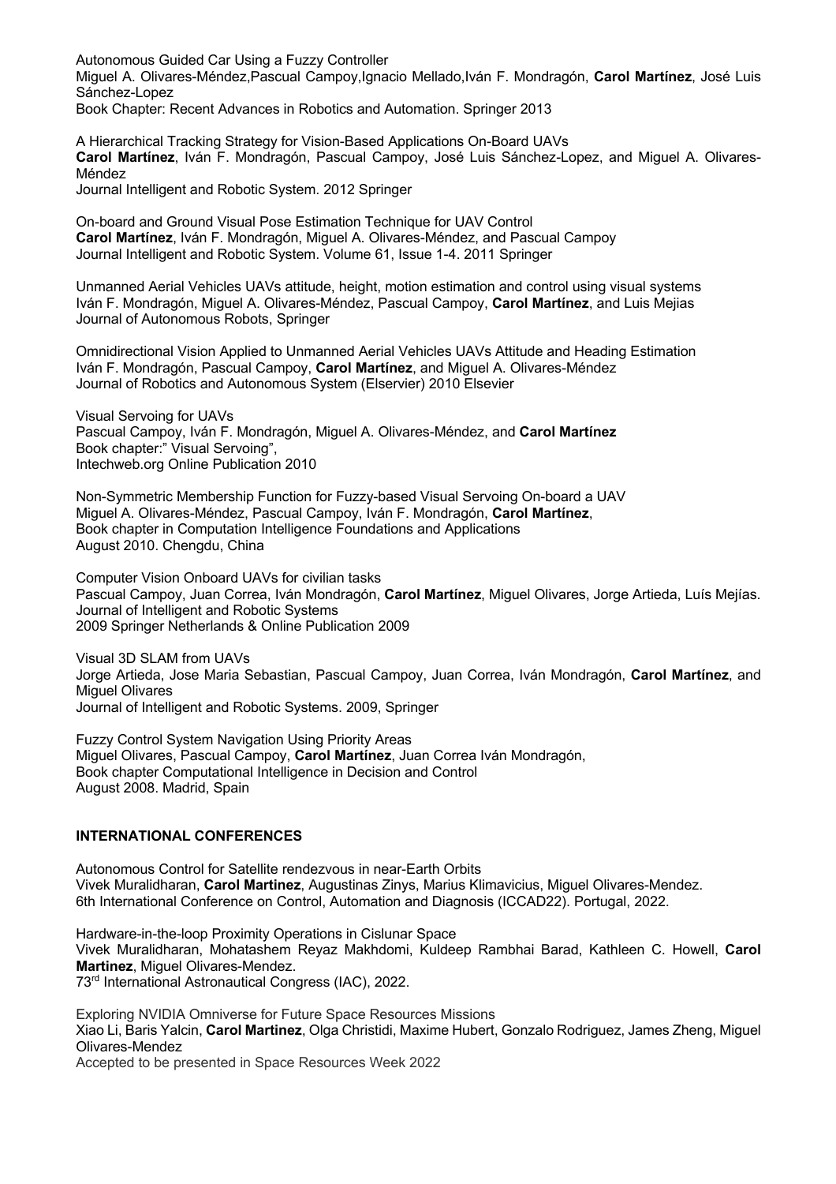Autonomous Guided Car Using a Fuzzy Controller Miguel A. Olivares-Méndez,Pascual Campoy,Ignacio Mellado,Iván F. Mondragón, **Carol Martínez**, José Luis Sánchez-Lopez Book Chapter: Recent Advances in Robotics and Automation. Springer 2013

A Hierarchical Tracking Strategy for Vision-Based Applications On-Board UAVs **Carol Martínez**, Iván F. Mondragón, Pascual Campoy, José Luis Sánchez-Lopez, and Miguel A. Olivares-Méndez

Journal Intelligent and Robotic System. 2012 Springer

On-board and Ground Visual Pose Estimation Technique for UAV Control **Carol Martínez**, Iván F. Mondragón, Miguel A. Olivares-Méndez, and Pascual Campoy Journal Intelligent and Robotic System. Volume 61, Issue 1-4. 2011 Springer

Unmanned Aerial Vehicles UAVs attitude, height, motion estimation and control using visual systems Iván F. Mondragón, Miguel A. Olivares-Méndez, Pascual Campoy, **Carol Martínez**, and Luis Mejias Journal of Autonomous Robots, Springer

Omnidirectional Vision Applied to Unmanned Aerial Vehicles UAVs Attitude and Heading Estimation Iván F. Mondragón, Pascual Campoy, **Carol Martínez**, and Miguel A. Olivares-Méndez Journal of Robotics and Autonomous System (Elservier) 2010 Elsevier

Visual Servoing for UAVs Pascual Campoy, Iván F. Mondragón, Miguel A. Olivares-Méndez, and **Carol Martínez** Book chapter:" Visual Servoing", Intechweb.org Online Publication 2010

Non-Symmetric Membership Function for Fuzzy-based Visual Servoing On-board a UAV Miguel A. Olivares-Méndez, Pascual Campoy, Iván F. Mondragón, **Carol Martínez**, Book chapter in Computation Intelligence Foundations and Applications August 2010. Chengdu, China

Computer Vision Onboard UAVs for civilian tasks Pascual Campoy, Juan Correa, Iván Mondragón, **Carol Martínez**, Miguel Olivares, Jorge Artieda, Luís Mejías. Journal of Intelligent and Robotic Systems 2009 Springer Netherlands & Online Publication 2009

Visual 3D SLAM from UAVs Jorge Artieda, Jose Maria Sebastian, Pascual Campoy, Juan Correa, Iván Mondragón, **Carol Martínez**, and Miguel Olivares Journal of Intelligent and Robotic Systems. 2009, Springer

Fuzzy Control System Navigation Using Priority Areas Miguel Olivares, Pascual Campoy, **Carol Martínez**, Juan Correa Iván Mondragón, Book chapter Computational Intelligence in Decision and Control August 2008. Madrid, Spain

### **INTERNATIONAL CONFERENCES**

Autonomous Control for Satellite rendezvous in near-Earth Orbits Vivek Muralidharan, **Carol Martinez**, Augustinas Zinys, Marius Klimavicius, Miguel Olivares-Mendez. 6th International Conference on Control, Automation and Diagnosis (ICCAD22). Portugal, 2022.

Hardware-in-the-loop Proximity Operations in Cislunar Space Vivek Muralidharan, Mohatashem Reyaz Makhdomi, Kuldeep Rambhai Barad, Kathleen C. Howell, **Carol Martinez**, Miguel Olivares-Mendez. 73rd International Astronautical Congress (IAC), 2022.

Exploring NVIDIA Omniverse for Future Space Resources Missions Xiao Li, Baris Yalcin, **Carol Martinez**, Olga Christidi, Maxime Hubert, Gonzalo Rodriguez, James Zheng, Miguel Olivares-Mendez

Accepted to be presented in Space Resources Week 2022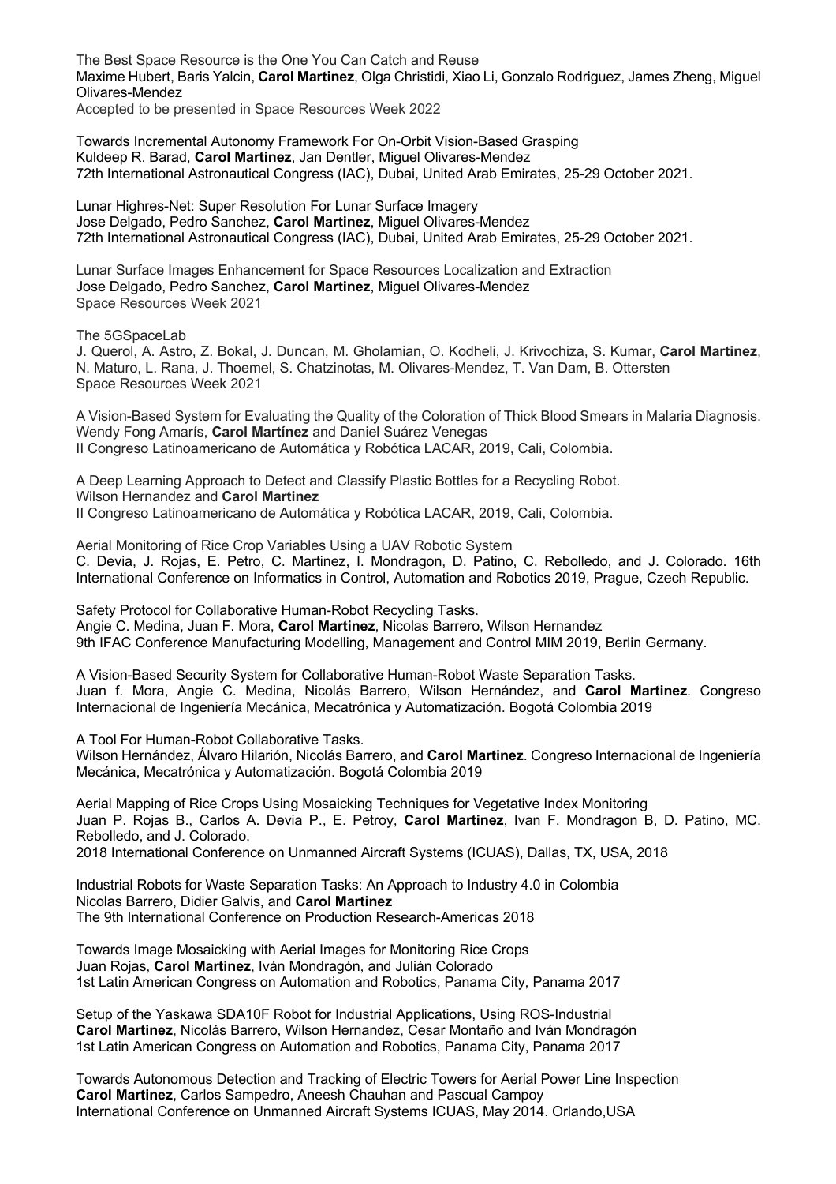The Best Space Resource is the One You Can Catch and Reuse Maxime Hubert, Baris Yalcin, **Carol Martinez**, Olga Christidi, Xiao Li, Gonzalo Rodriguez, James Zheng, Miguel Olivares-Mendez

Accepted to be presented in Space Resources Week 2022

Towards Incremental Autonomy Framework For On-Orbit Vision-Based Grasping Kuldeep R. Barad, **Carol Martinez**, Jan Dentler, Miguel Olivares-Mendez 72th International Astronautical Congress (IAC), Dubai, United Arab Emirates, 25-29 October 2021.

Lunar Highres-Net: Super Resolution For Lunar Surface Imagery Jose Delgado, Pedro Sanchez, **Carol Martinez**, Miguel Olivares-Mendez 72th International Astronautical Congress (IAC), Dubai, United Arab Emirates, 25-29 October 2021.

Lunar Surface Images Enhancement for Space Resources Localization and Extraction Jose Delgado, Pedro Sanchez, **Carol Martinez**, Miguel Olivares-Mendez Space Resources Week 2021

The 5GSpaceLab

J. Querol, A. Astro, Z. Bokal, J. Duncan, M. Gholamian, O. Kodheli, J. Krivochiza, S. Kumar, **Carol Martinez**, N. Maturo, L. Rana, J. Thoemel, S. Chatzinotas, M. Olivares-Mendez, T. Van Dam, B. Ottersten Space Resources Week 2021

A Vision-Based System for Evaluating the Quality of the Coloration of Thick Blood Smears in Malaria Diagnosis. Wendy Fong Amarís, **Carol Martínez** and Daniel Suárez Venegas II Congreso Latinoamericano de Automática y Robótica LACAR, 2019, Cali, Colombia.

A Deep Learning Approach to Detect and Classify Plastic Bottles for a Recycling Robot. Wilson Hernandez and **Carol Martinez** II Congreso Latinoamericano de Automática y Robótica LACAR, 2019, Cali, Colombia.

Aerial Monitoring of Rice Crop Variables Using a UAV Robotic System C. Devia, J. Rojas, E. Petro, C. Martinez, I. Mondragon, D. Patino, C. Rebolledo, and J. Colorado. 16th International Conference on Informatics in Control, Automation and Robotics 2019, Prague, Czech Republic.

Safety Protocol for Collaborative Human-Robot Recycling Tasks. Angie C. Medina, Juan F. Mora, **Carol Martinez**, Nicolas Barrero, Wilson Hernandez 9th IFAC Conference Manufacturing Modelling, Management and Control MIM 2019, Berlin Germany.

A Vision-Based Security System for Collaborative Human-Robot Waste Separation Tasks. Juan f. Mora, Angie C. Medina, Nicolás Barrero, Wilson Hernández, and **Carol Martinez**. Congreso Internacional de Ingeniería Mecánica, Mecatrónica y Automatización. Bogotá Colombia 2019

A Tool For Human-Robot Collaborative Tasks. Wilson Hernández, Álvaro Hilarión, Nicolás Barrero, and **Carol Martinez**. Congreso Internacional de Ingeniería Mecánica, Mecatrónica y Automatización. Bogotá Colombia 2019

Aerial Mapping of Rice Crops Using Mosaicking Techniques for Vegetative Index Monitoring Juan P. Rojas B., Carlos A. Devia P., E. Petroy, **Carol Martinez**, Ivan F. Mondragon B, D. Patino, MC. Rebolledo, and J. Colorado. 2018 International Conference on Unmanned Aircraft Systems (ICUAS), Dallas, TX, USA, 2018

Industrial Robots for Waste Separation Tasks: An Approach to Industry 4.0 in Colombia Nicolas Barrero, Didier Galvis, and **Carol Martinez** The 9th International Conference on Production Research-Americas 2018

Towards Image Mosaicking with Aerial Images for Monitoring Rice Crops Juan Rojas, **Carol Martinez**, Iván Mondragón, and Julián Colorado 1st Latin American Congress on Automation and Robotics, Panama City, Panama 2017

Setup of the Yaskawa SDA10F Robot for Industrial Applications, Using ROS-Industrial **Carol Martinez**, Nicolás Barrero, Wilson Hernandez, Cesar Montaño and Iván Mondragón 1st Latin American Congress on Automation and Robotics, Panama City, Panama 2017

Towards Autonomous Detection and Tracking of Electric Towers for Aerial Power Line Inspection **Carol Martinez**, Carlos Sampedro, Aneesh Chauhan and Pascual Campoy International Conference on Unmanned Aircraft Systems ICUAS, May 2014. Orlando,USA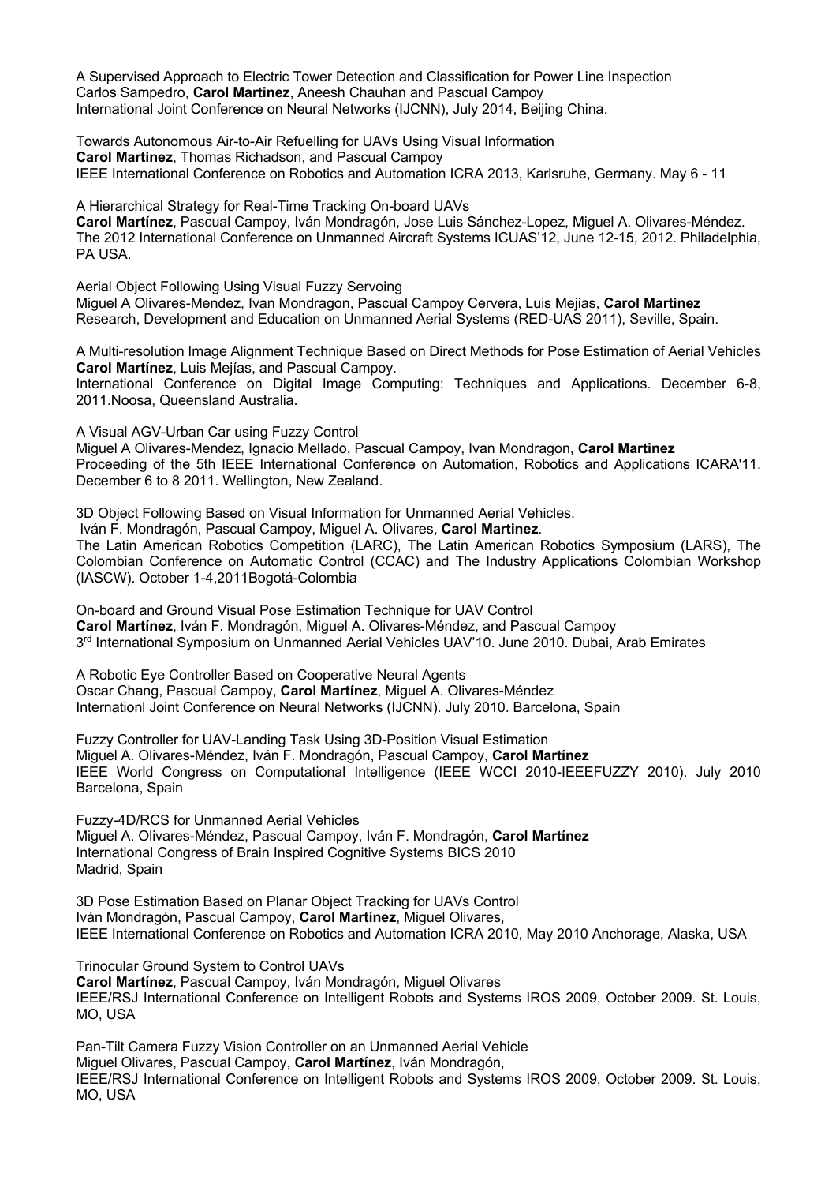A Supervised Approach to Electric Tower Detection and Classification for Power Line Inspection Carlos Sampedro, **Carol Martinez**, Aneesh Chauhan and Pascual Campoy International Joint Conference on Neural Networks (IJCNN), July 2014, Beijing China.

Towards Autonomous Air-to-Air Refuelling for UAVs Using Visual Information **Carol Martinez**, Thomas Richadson, and Pascual Campoy IEEE International Conference on Robotics and Automation ICRA 2013, Karlsruhe, Germany. May 6 - 11

A Hierarchical Strategy for Real-Time Tracking On-board UAVs **Carol Martínez**, Pascual Campoy, Iván Mondragón, Jose Luis Sánchez-Lopez, Miguel A. Olivares-Méndez. The 2012 International Conference on Unmanned Aircraft Systems ICUAS'12, June 12-15, 2012. Philadelphia, PA USA.

Aerial Object Following Using Visual Fuzzy Servoing Miguel A Olivares-Mendez, Ivan Mondragon, Pascual Campoy Cervera, Luis Mejias, **Carol Martinez** Research, Development and Education on Unmanned Aerial Systems (RED-UAS 2011), Seville, Spain.

A Multi-resolution Image Alignment Technique Based on Direct Methods for Pose Estimation of Aerial Vehicles **Carol Martínez**, Luis Mejías, and Pascual Campoy.

International Conference on Digital Image Computing: Techniques and Applications. December 6-8, 2011.Noosa, Queensland Australia.

A Visual AGV-Urban Car using Fuzzy Control

Miguel A Olivares-Mendez, Ignacio Mellado, Pascual Campoy, Ivan Mondragon, **Carol Martinez** Proceeding of the 5th IEEE International Conference on Automation, Robotics and Applications ICARA'11. December 6 to 8 2011. Wellington, New Zealand.

3D Object Following Based on Visual Information for Unmanned Aerial Vehicles.

Iván F. Mondragón, Pascual Campoy, Miguel A. Olivares, **Carol Martinez**. The Latin American Robotics Competition (LARC), The Latin American Robotics Symposium (LARS), The Colombian Conference on Automatic Control (CCAC) and The Industry Applications Colombian Workshop (IASCW). October 1-4,2011Bogotá-Colombia

On-board and Ground Visual Pose Estimation Technique for UAV Control **Carol Martínez**, Iván F. Mondragón, Miguel A. Olivares-Méndez, and Pascual Campoy 3<sup>rd</sup> International Symposium on Unmanned Aerial Vehicles UAV'10. June 2010. Dubai, Arab Emirates

A Robotic Eye Controller Based on Cooperative Neural Agents Oscar Chang, Pascual Campoy, **Carol Martínez**, Miguel A. Olivares-Méndez Internationl Joint Conference on Neural Networks (IJCNN). July 2010. Barcelona, Spain

Fuzzy Controller for UAV-Landing Task Using 3D-Position Visual Estimation Miguel A. Olivares-Méndez, Iván F. Mondragón, Pascual Campoy, **Carol Martínez** IEEE World Congress on Computational Intelligence (IEEE WCCI 2010-IEEEFUZZY 2010). July 2010 Barcelona, Spain

Fuzzy-4D/RCS for Unmanned Aerial Vehicles Miguel A. Olivares-Méndez, Pascual Campoy, Iván F. Mondragón, **Carol Martínez** International Congress of Brain Inspired Cognitive Systems BICS 2010 Madrid, Spain

3D Pose Estimation Based on Planar Object Tracking for UAVs Control Iván Mondragón, Pascual Campoy, **Carol Martínez**, Miguel Olivares, IEEE International Conference on Robotics and Automation ICRA 2010, May 2010 Anchorage, Alaska, USA

Trinocular Ground System to Control UAVs **Carol Martínez**, Pascual Campoy, Iván Mondragón, Miguel Olivares IEEE/RSJ International Conference on Intelligent Robots and Systems IROS 2009, October 2009. St. Louis, MO, USA

Pan-Tilt Camera Fuzzy Vision Controller on an Unmanned Aerial Vehicle Miguel Olivares, Pascual Campoy, **Carol Martínez**, Iván Mondragón, IEEE/RSJ International Conference on Intelligent Robots and Systems IROS 2009, October 2009. St. Louis, MO, USA